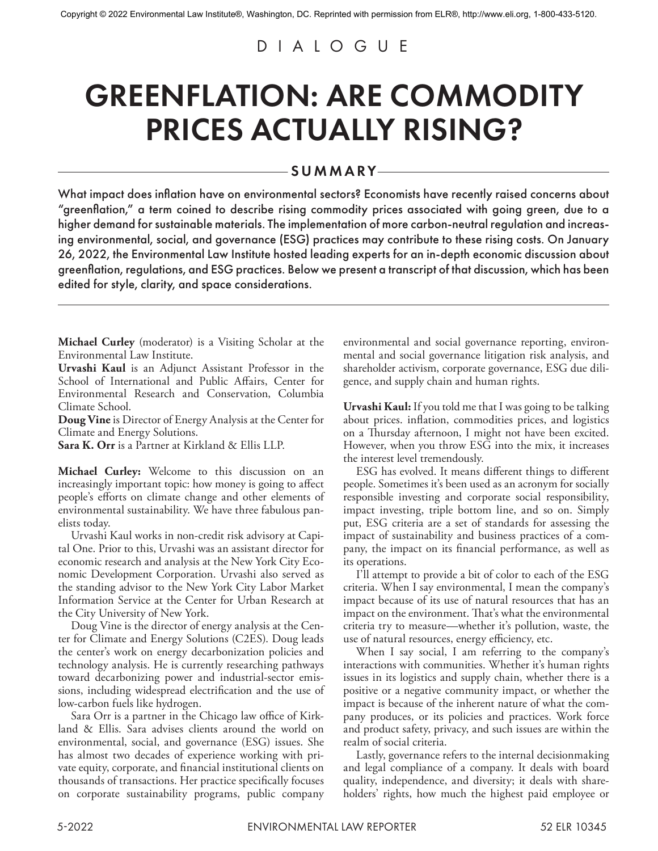## DIALOGUE

## GREENFLATION: ARE COMMODITY PRICES ACTUALLY RISING?

## SUMMARY

What impact does inflation have on environmental sectors? Economists have recently raised concerns about "greenflation," a term coined to describe rising commodity prices associated with going green, due to a higher demand for sustainable materials. The implementation of more carbon-neutral regulation and increasing environmental, social, and governance (ESG) practices may contribute to these rising costs. On January 26, 2022, the Environmental Law Institute hosted leading experts for an in-depth economic discussion about greenflation, regulations, and ESG practices. Below we present a transcript of that discussion, which has been edited for style, clarity, and space considerations.

**Michael Curley** (moderator) is a Visiting Scholar at the Environmental Law Institute.

**Urvashi Kaul** is an Adjunct Assistant Professor in the School of International and Public Affairs, Center for Environmental Research and Conservation, Columbia Climate School.

**Doug Vine** is Director of Energy Analysis at the Center for Climate and Energy Solutions.

**Sara K. Orr** is a Partner at Kirkland & Ellis LLP.

**Michael Curley:** Welcome to this discussion on an increasingly important topic: how money is going to affect people's efforts on climate change and other elements of environmental sustainability. We have three fabulous panelists today.

Urvashi Kaul works in non-credit risk advisory at Capital One. Prior to this, Urvashi was an assistant director for economic research and analysis at the New York City Economic Development Corporation. Urvashi also served as the standing advisor to the New York City Labor Market Information Service at the Center for Urban Research at the City University of New York.

Doug Vine is the director of energy analysis at the Center for Climate and Energy Solutions (C2ES). Doug leads the center's work on energy decarbonization policies and technology analysis. He is currently researching pathways toward decarbonizing power and industrial-sector emissions, including widespread electrification and the use of low-carbon fuels like hydrogen.

Sara Orr is a partner in the Chicago law office of Kirkland & Ellis. Sara advises clients around the world on environmental, social, and governance (ESG) issues. She has almost two decades of experience working with private equity, corporate, and financial institutional clients on thousands of transactions. Her practice specifically focuses on corporate sustainability programs, public company environmental and social governance reporting, environmental and social governance litigation risk analysis, and shareholder activism, corporate governance, ESG due diligence, and supply chain and human rights.

**Urvashi Kaul:** If you told me that I was going to be talking about prices. inflation, commodities prices, and logistics on a Thursday afternoon, I might not have been excited. However, when you throw ESG into the mix, it increases the interest level tremendously.

ESG has evolved. It means different things to different people. Sometimes it's been used as an acronym for socially responsible investing and corporate social responsibility, impact investing, triple bottom line, and so on. Simply put, ESG criteria are a set of standards for assessing the impact of sustainability and business practices of a company, the impact on its financial performance, as well as its operations.

I'll attempt to provide a bit of color to each of the ESG criteria. When I say environmental, I mean the company's impact because of its use of natural resources that has an impact on the environment. That's what the environmental criteria try to measure—whether it's pollution, waste, the use of natural resources, energy efficiency, etc.

When I say social, I am referring to the company's interactions with communities. Whether it's human rights issues in its logistics and supply chain, whether there is a positive or a negative community impact, or whether the impact is because of the inherent nature of what the company produces, or its policies and practices. Work force and product safety, privacy, and such issues are within the realm of social criteria.

Lastly, governance refers to the internal decisionmaking and legal compliance of a company. It deals with board quality, independence, and diversity; it deals with shareholders' rights, how much the highest paid employee or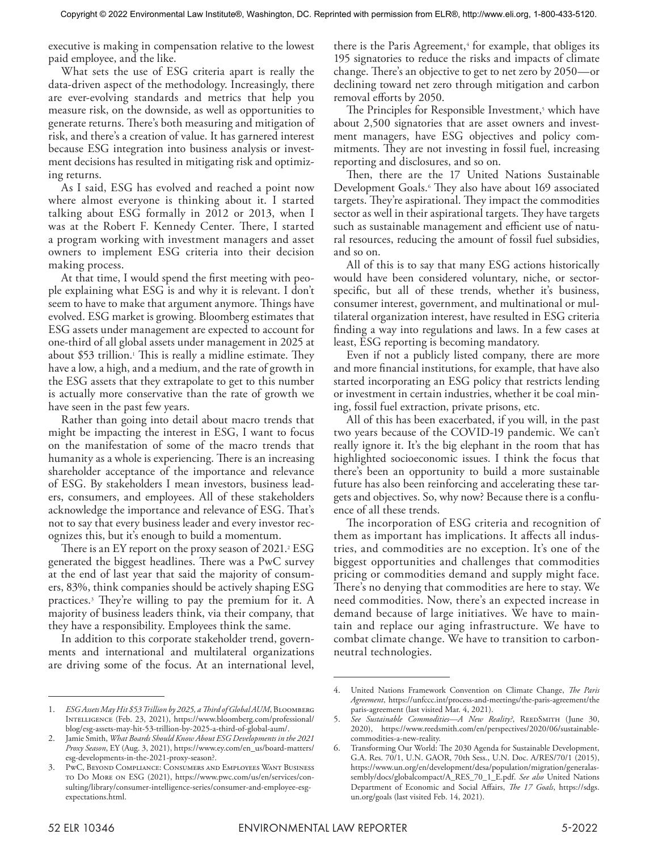executive is making in compensation relative to the lowest paid employee, and the like.

What sets the use of ESG criteria apart is really the data-driven aspect of the methodology. Increasingly, there are ever-evolving standards and metrics that help you measure risk, on the downside, as well as opportunities to generate returns. There's both measuring and mitigation of risk, and there's a creation of value. It has garnered interest because ESG integration into business analysis or investment decisions has resulted in mitigating risk and optimizing returns.

As I said, ESG has evolved and reached a point now where almost everyone is thinking about it. I started talking about ESG formally in 2012 or 2013, when I was at the Robert F. Kennedy Center. There, I started a program working with investment managers and asset owners to implement ESG criteria into their decision making process.

At that time, I would spend the first meeting with people explaining what ESG is and why it is relevant. I don't seem to have to make that argument anymore. Things have evolved. ESG market is growing. Bloomberg estimates that ESG assets under management are expected to account for one-third of all global assets under management in 2025 at about \$53 trillion.1 This is really a midline estimate. They have a low, a high, and a medium, and the rate of growth in the ESG assets that they extrapolate to get to this number is actually more conservative than the rate of growth we have seen in the past few years.

Rather than going into detail about macro trends that might be impacting the interest in ESG, I want to focus on the manifestation of some of the macro trends that humanity as a whole is experiencing. There is an increasing shareholder acceptance of the importance and relevance of ESG. By stakeholders I mean investors, business leaders, consumers, and employees. All of these stakeholders acknowledge the importance and relevance of ESG. That's not to say that every business leader and every investor recognizes this, but it's enough to build a momentum.

There is an EY report on the proxy season of 2021. $2$  ESG generated the biggest headlines. There was a PwC survey at the end of last year that said the majority of consumers, 83%, think companies should be actively shaping ESG practices.3 They're willing to pay the premium for it. A majority of business leaders think, via their company, that they have a responsibility. Employees think the same.

In addition to this corporate stakeholder trend, governments and international and multilateral organizations are driving some of the focus. At an international level,

there is the Paris Agreement,<sup>4</sup> for example, that obliges its 195 signatories to reduce the risks and impacts of climate change. There's an objective to get to net zero by 2050—or declining toward net zero through mitigation and carbon removal efforts by 2050.

The Principles for Responsible Investment,<sup>5</sup> which have about 2,500 signatories that are asset owners and investment managers, have ESG objectives and policy commitments. They are not investing in fossil fuel, increasing reporting and disclosures, and so on.

Then, there are the 17 United Nations Sustainable Development Goals.<sup>6</sup> They also have about 169 associated targets. They're aspirational. They impact the commodities sector as well in their aspirational targets. They have targets such as sustainable management and efficient use of natural resources, reducing the amount of fossil fuel subsidies, and so on.

All of this is to say that many ESG actions historically would have been considered voluntary, niche, or sectorspecific, but all of these trends, whether it's business, consumer interest, government, and multinational or multilateral organization interest, have resulted in ESG criteria finding a way into regulations and laws. In a few cases at least, ESG reporting is becoming mandatory.

Even if not a publicly listed company, there are more and more financial institutions, for example, that have also started incorporating an ESG policy that restricts lending or investment in certain industries, whether it be coal mining, fossil fuel extraction, private prisons, etc.

All of this has been exacerbated, if you will, in the past two years because of the COVID-19 pandemic. We can't really ignore it. It's the big elephant in the room that has highlighted socioeconomic issues. I think the focus that there's been an opportunity to build a more sustainable future has also been reinforcing and accelerating these targets and objectives. So, why now? Because there is a confluence of all these trends.

The incorporation of ESG criteria and recognition of them as important has implications. It affects all industries, and commodities are no exception. It's one of the biggest opportunities and challenges that commodities pricing or commodities demand and supply might face. There's no denying that commodities are here to stay. We need commodities. Now, there's an expected increase in demand because of large initiatives. We have to maintain and replace our aging infrastructure. We have to combat climate change. We have to transition to carbonneutral technologies.

<sup>1.</sup> *ESG Assets May Hit \$53 Trillion by 2025, a Third of Global AUM*, Bloomberg Intelligence (Feb. 23, 2021), https://www.bloomberg.com/professional/ blog/esg-assets-may-hit-53-trillion-by-2025-a-third-of-global-aum/.

<sup>2.</sup> Jamie Smith, *What Boards Should Know About ESG Developments in the 2021 Proxy Season*, EY (Aug. 3, 2021), https://www.ey.com/en\_us/board-matters/ esg-developments-in-the-2021-proxy-season?.

<sup>3.</sup> PwC, Beyond Compliance: Consumers and Employees Want Business to Do More on ESG (2021), https://www.pwc.com/us/en/services/consulting/library/consumer-intelligence-series/consumer-and-employee-esgexpectations.html.

<sup>4.</sup> United Nations Framework Convention on Climate Change, *The Paris Agreement*, https://unfccc.int/process-and-meetings/the-paris-agreement/the paris-agreement (last visited Mar. 4, 2021).

See Sustainable Commodities-A New Reality?, REEDSMITH (June 30, 2020), https://www.reedsmith.com/en/perspectives/2020/06/sustainablecommodities-a-new-reality.

Transforming Our World: The 2030 Agenda for Sustainable Development, G.A. Res. 70/1, U.N. GAOR, 70th Sess., U.N. Doc. A/RES/70/1 (2015), https://www.un.org/en/development/desa/population/migration/generalassembly/docs/globalcompact/A\_RES\_70\_1\_E.pdf. *See also* United Nations Department of Economic and Social Affairs, *The 17 Goals*, https://sdgs. un.org/goals (last visited Feb. 14, 2021).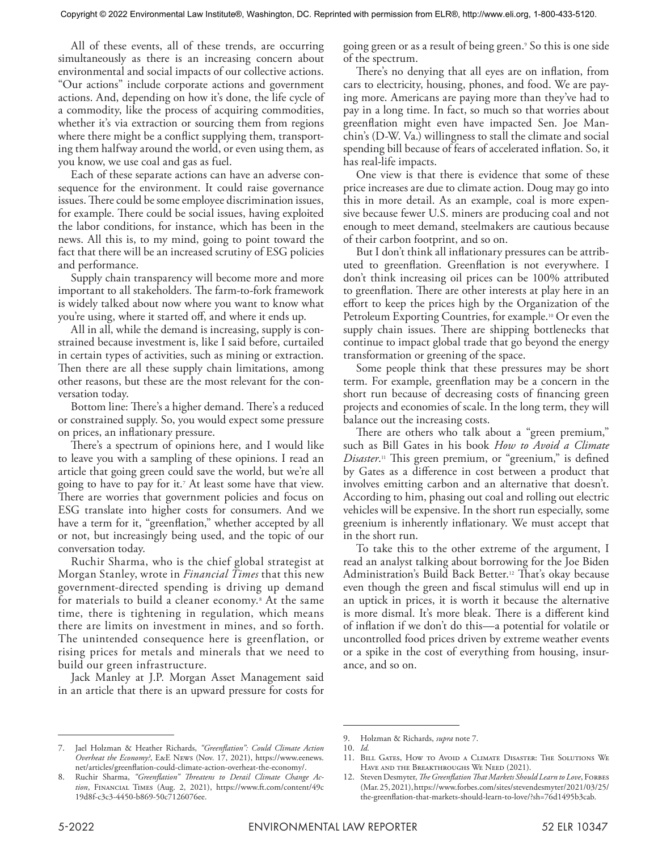All of these events, all of these trends, are occurring simultaneously as there is an increasing concern about environmental and social impacts of our collective actions. "Our actions" include corporate actions and government actions. And, depending on how it's done, the life cycle of a commodity, like the process of acquiring commodities, whether it's via extraction or sourcing them from regions where there might be a conflict supplying them, transporting them halfway around the world, or even using them, as you know, we use coal and gas as fuel.

Each of these separate actions can have an adverse consequence for the environment. It could raise governance issues. There could be some employee discrimination issues, for example. There could be social issues, having exploited the labor conditions, for instance, which has been in the news. All this is, to my mind, going to point toward the fact that there will be an increased scrutiny of ESG policies and performance.

Supply chain transparency will become more and more important to all stakeholders. The farm-to-fork framework is widely talked about now where you want to know what you're using, where it started off, and where it ends up.

All in all, while the demand is increasing, supply is constrained because investment is, like I said before, curtailed in certain types of activities, such as mining or extraction. Then there are all these supply chain limitations, among other reasons, but these are the most relevant for the conversation today.

Bottom line: There's a higher demand. There's a reduced or constrained supply. So, you would expect some pressure on prices, an inflationary pressure.

There's a spectrum of opinions here, and I would like to leave you with a sampling of these opinions. I read an article that going green could save the world, but we're all going to have to pay for it.7 At least some have that view. There are worries that government policies and focus on ESG translate into higher costs for consumers. And we have a term for it, "greenflation," whether accepted by all or not, but increasingly being used, and the topic of our conversation today.

Ruchir Sharma, who is the chief global strategist at Morgan Stanley, wrote in *Financial Times* that this new government-directed spending is driving up demand for materials to build a cleaner economy.8 At the same time, there is tightening in regulation, which means there are limits on investment in mines, and so forth. The unintended consequence here is greenflation, or rising prices for metals and minerals that we need to build our green infrastructure.

Jack Manley at J.P. Morgan Asset Management said in an article that there is an upward pressure for costs for

going green or as a result of being green.9 So this is one side of the spectrum.

There's no denying that all eyes are on inflation, from cars to electricity, housing, phones, and food. We are paying more. Americans are paying more than they've had to pay in a long time. In fact, so much so that worries about greenflation might even have impacted Sen. Joe Manchin's (D-W. Va.) willingness to stall the climate and social spending bill because of fears of accelerated inflation. So, it has real-life impacts.

One view is that there is evidence that some of these price increases are due to climate action. Doug may go into this in more detail. As an example, coal is more expensive because fewer U.S. miners are producing coal and not enough to meet demand, steelmakers are cautious because of their carbon footprint, and so on.

But I don't think all inflationary pressures can be attributed to greenflation. Greenflation is not everywhere. I don't think increasing oil prices can be 100% attributed to greenflation. There are other interests at play here in an effort to keep the prices high by the Organization of the Petroleum Exporting Countries, for example.10 Or even the supply chain issues. There are shipping bottlenecks that continue to impact global trade that go beyond the energy transformation or greening of the space.

Some people think that these pressures may be short term. For example, greenflation may be a concern in the short run because of decreasing costs of financing green projects and economies of scale. In the long term, they will balance out the increasing costs.

There are others who talk about a "green premium," such as Bill Gates in his book *How to Avoid a Climate Disaster*. 11 This green premium, or "greenium," is defined by Gates as a difference in cost between a product that involves emitting carbon and an alternative that doesn't. According to him, phasing out coal and rolling out electric vehicles will be expensive. In the short run especially, some greenium is inherently inflationary. We must accept that in the short run.

To take this to the other extreme of the argument, I read an analyst talking about borrowing for the Joe Biden Administration's Build Back Better.<sup>12</sup> That's okay because even though the green and fiscal stimulus will end up in an uptick in prices, it is worth it because the alternative is more dismal. It's more bleak. There is a different kind of inflation if we don't do this—a potential for volatile or uncontrolled food prices driven by extreme weather events or a spike in the cost of everything from housing, insurance, and so on.

<sup>9.</sup> Holzman & Richards, *supra* note 7.

<sup>10.</sup> *Id.*

<sup>11.</sup> Bill Gates, How to Avoid a Climate Disaster: The Solutions We Have and the Breakthroughs We Need (2021).

<sup>12.</sup> Steven Desmyter, *The Greenflation That Markets Should Learn to Love*, FORBES (Mar. 25, 2021), https://www.forbes.com/sites/stevendesmyter/2021/03/25/ the-greenflation-that-markets-should-learn-to-love/?sh=76d1495b3cab.

<sup>7.</sup> Jael Holzman & Heather Richards, *"Greenflation": Could Climate Action Overheat the Economy?*, E&E News (Nov. 17, 2021), https://www.eenews. net/articles/greenflation-could-climate-action-overheat-the-economy/.

<sup>8.</sup> Ruchir Sharma, *"Greenflation" Threatens to Derail Climate Change Action*, Financial Times (Aug. 2, 2021), https://www.ft.com/content/49c 19d8f-c3c3-4450-b869-50c7126076ee.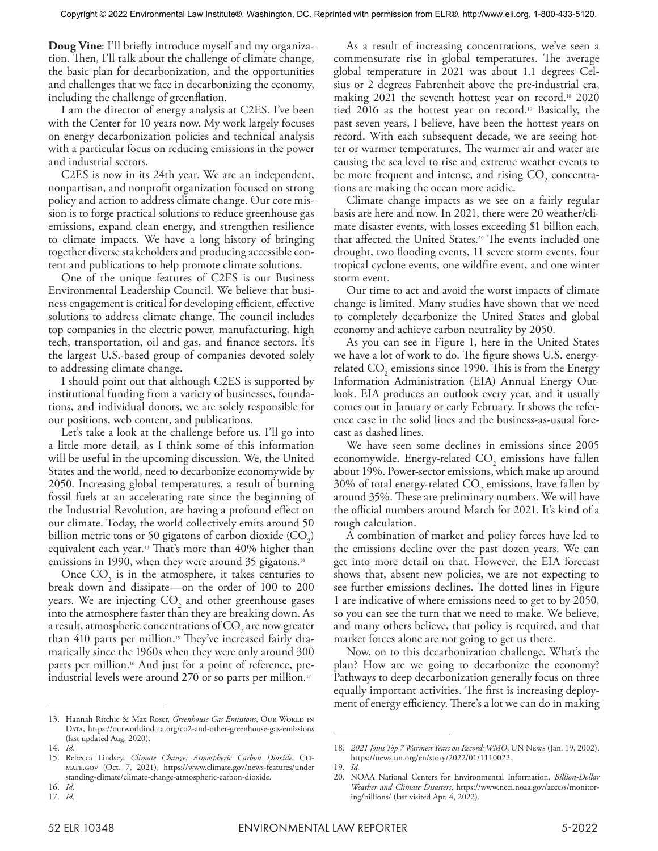**Doug Vine**: I'll briefly introduce myself and my organization. Then, I'll talk about the challenge of climate change, the basic plan for decarbonization, and the opportunities and challenges that we face in decarbonizing the economy, including the challenge of greenflation.

I am the director of energy analysis at C2ES. I've been with the Center for 10 years now. My work largely focuses on energy decarbonization policies and technical analysis with a particular focus on reducing emissions in the power and industrial sectors.

C2ES is now in its 24th year. We are an independent, nonpartisan, and nonprofit organization focused on strong policy and action to address climate change. Our core mission is to forge practical solutions to reduce greenhouse gas emissions, expand clean energy, and strengthen resilience to climate impacts. We have a long history of bringing together diverse stakeholders and producing accessible content and publications to help promote climate solutions.

One of the unique features of C2ES is our Business Environmental Leadership Council. We believe that business engagement is critical for developing efficient, effective solutions to address climate change. The council includes top companies in the electric power, manufacturing, high tech, transportation, oil and gas, and finance sectors. It's the largest U.S.-based group of companies devoted solely to addressing climate change.

I should point out that although C2ES is supported by institutional funding from a variety of businesses, foundations, and individual donors, we are solely responsible for our positions, web content, and publications.

Let's take a look at the challenge before us. I'll go into a little more detail, as I think some of this information will be useful in the upcoming discussion. We, the United States and the world, need to decarbonize economywide by 2050. Increasing global temperatures, a result of burning fossil fuels at an accelerating rate since the beginning of the Industrial Revolution, are having a profound effect on our climate. Today, the world collectively emits around 50 billion metric tons or 50 gigatons of carbon dioxide  $(CO_2)$ equivalent each year.13 That's more than 40% higher than emissions in 1990, when they were around 35 gigatons.<sup>14</sup>

Once  $CO<sub>2</sub>$  is in the atmosphere, it takes centuries to break down and dissipate—on the order of 100 to 200 years. We are injecting  $CO<sub>2</sub>$  and other greenhouse gases into the atmosphere faster than they are breaking down. As a result, atmospheric concentrations of  $CO<sub>2</sub>$  are now greater than 410 parts per million.<sup>15</sup> They've increased fairly dramatically since the 1960s when they were only around 300 parts per million.<sup>16</sup> And just for a point of reference, preindustrial levels were around 270 or so parts per million.<sup>17</sup>

As a result of increasing concentrations, we've seen a commensurate rise in global temperatures. The average global temperature in 2021 was about 1.1 degrees Celsius or 2 degrees Fahrenheit above the pre-industrial era, making 2021 the seventh hottest year on record.<sup>18</sup> 2020 tied 2016 as the hottest year on record.<sup>19</sup> Basically, the past seven years, I believe, have been the hottest years on record. With each subsequent decade, we are seeing hotter or warmer temperatures. The warmer air and water are causing the sea level to rise and extreme weather events to be more frequent and intense, and rising  $CO<sub>2</sub>$  concentrations are making the ocean more acidic.

Climate change impacts as we see on a fairly regular basis are here and now. In 2021, there were 20 weather/climate disaster events, with losses exceeding \$1 billion each, that affected the United States.20 The events included one drought, two flooding events, 11 severe storm events, four tropical cyclone events, one wildfire event, and one winter storm event.

Our time to act and avoid the worst impacts of climate change is limited. Many studies have shown that we need to completely decarbonize the United States and global economy and achieve carbon neutrality by 2050.

As you can see in Figure 1, here in the United States we have a lot of work to do. The figure shows U.S. energyrelated  $CO<sub>2</sub>$  emissions since 1990. This is from the Energy Information Administration (EIA) Annual Energy Outlook. EIA produces an outlook every year, and it usually comes out in January or early February. It shows the reference case in the solid lines and the business-as-usual forecast as dashed lines.

We have seen some declines in emissions since 2005 economywide. Energy-related  $CO<sub>2</sub>$  emissions have fallen about 19%. Power-sector emissions, which make up around 30% of total energy-related  $CO<sub>2</sub>$  emissions, have fallen by around 35%. These are preliminary numbers. We will have the official numbers around March for 2021. It's kind of a rough calculation.

A combination of market and policy forces have led to the emissions decline over the past dozen years. We can get into more detail on that. However, the EIA forecast shows that, absent new policies, we are not expecting to see further emissions declines. The dotted lines in Figure 1 are indicative of where emissions need to get to by 2050, so you can see the turn that we need to make. We believe, and many others believe, that policy is required, and that market forces alone are not going to get us there.

Now, on to this decarbonization challenge. What's the plan? How are we going to decarbonize the economy? Pathways to deep decarbonization generally focus on three equally important activities. The first is increasing deployment of energy efficiency. There's a lot we can do in making

<sup>13.</sup> Hannah Ritchie & Max Roser, *Greenhouse Gas Emissions*, Our WORLD IN Data, https://ourworldindata.org/co2-and-other-greenhouse-gas-emissions (last updated Aug. 2020).

<sup>14.</sup> *Id.*

<sup>15.</sup> Rebecca Lindsey, *Climate Change: Atmospheric Carbon Dioxide*, CLImate.gov (Oct. 7, 2021), https://www.climate.gov/news-features/under standing-climate/climate-change-atmospheric-carbon-dioxide.

<sup>16.</sup> *Id.* 17. *Id*.

<sup>18.</sup> *2021 Joins Top 7 Warmest Years on Record: WMO*, UN News (Jan. 19, 2002), https://news.un.org/en/story/2022/01/1110022.

<sup>19.</sup> *Id.*

<sup>20.</sup> NOAA National Centers for Environmental Information, *Billion-Dollar Weather and Climate Disasters*, https://www.ncei.noaa.gov/access/monitoring/billions/ (last visited Apr. 4, 2022).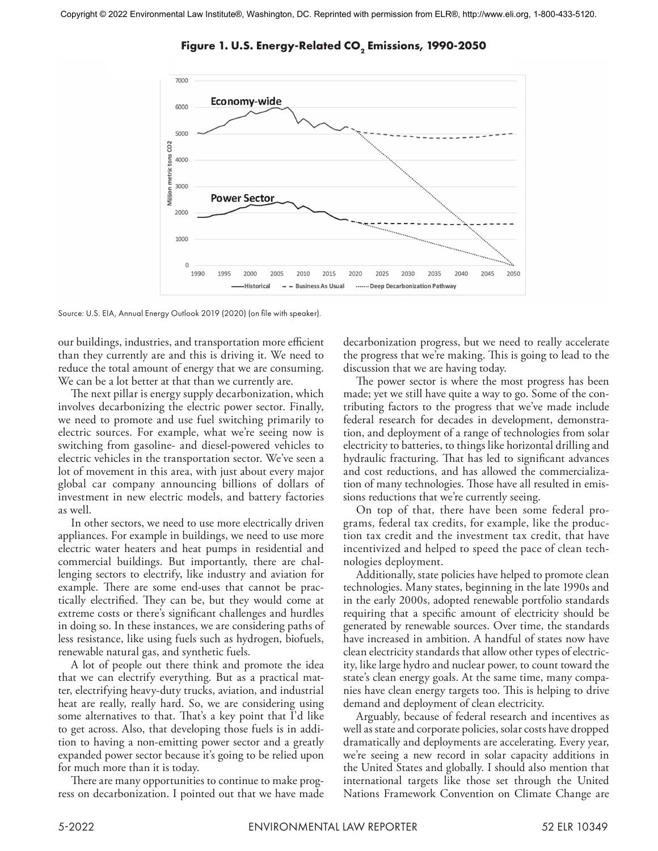

Figure 1. U.S. Energy-Related CO<sub>2</sub> Emissions, 1990-2050

Source: U.S. EIA, Annual Energy Outlook 2019 (2020) (on file with speaker).

our buildings, industries, and transportation more efficient than they currently are and this is driving it. We need to reduce the total amount of energy that we are consuming. We can be a lot better at that than we currently are.

The next pillar is energy supply decarbonization, which involves decarbonizing the electric power sector. Finally, we need to promote and use fuel switching primarily to electric sources. For example, what we're seeing now is switching from gasoline- and diesel-powered vehicles to electric vehicles in the transportation sector. We've seen a lot of movement in this area, with just about every major global car company announcing billions of dollars of investment in new electric models, and battery factories as well.

In other sectors, we need to use more electrically driven appliances. For example in buildings, we need to use more electric water heaters and heat pumps in residential and commercial buildings. But importantly, there are challenging sectors to electrify, like industry and aviation for example. There are some end-uses that cannot be practically electrified. They can be, but they would come at extreme costs or there's significant challenges and hurdles in doing so. In these instances, we are considering paths of less resistance, like using fuels such as hydrogen, biofuels, renewable natural gas, and synthetic fuels.

A lot of people out there think and promote the idea that we can electrify everything. But as a practical matter, electrifying heavy-duty trucks, aviation, and industrial heat are really, really hard. So, we are considering using some alternatives to that. That's a key point that I'd like to get across. Also, that developing those fuels is in addition to having a non-emitting power sector and a greatly expanded power sector because it's going to be relied upon for much more than it is today.

There are many opportunities to continue to make progress on decarbonization. I pointed out that we have made decarbonization progress, but we need to really accelerate the progress that we're making. This is going to lead to the discussion that we are having today.

The power sector is where the most progress has been made; yet we still have quite a way to go. Some of the contributing factors to the progress that we've made include federal research for decades in development, demonstration, and deployment of a range of technologies from solar electricity to batteries, to things like horizontal drilling and hydraulic fracturing. That has led to significant advances and cost reductions, and has allowed the commercialization of many technologies. Those have all resulted in emissions reductions that we're currently seeing.

On top of that, there have been some federal programs, federal tax credits, for example, like the production tax credit and the investment tax credit, that have incentivized and helped to speed the pace of clean technologies deployment.

Additionally, state policies have helped to promote clean technologies. Many states, beginning in the late 1990s and in the early 2000s, adopted renewable portfolio standards requiring that a specific amount of electricity should be generated by renewable sources. Over time, the standards have increased in ambition. A handful of states now have clean electricity standards that allow other types of electricity, like large hydro and nuclear power, to count toward the state's clean energy goals. At the same time, many companies have clean energy targets too. This is helping to drive demand and deployment of clean electricity.

Arguably, because of federal research and incentives as well as state and corporate policies, solar costs have dropped dramatically and deployments are accelerating. Every year, we're seeing a new record in solar capacity additions in the United States and globally. I should also mention that international targets like those set through the United Nations Framework Convention on Climate Change are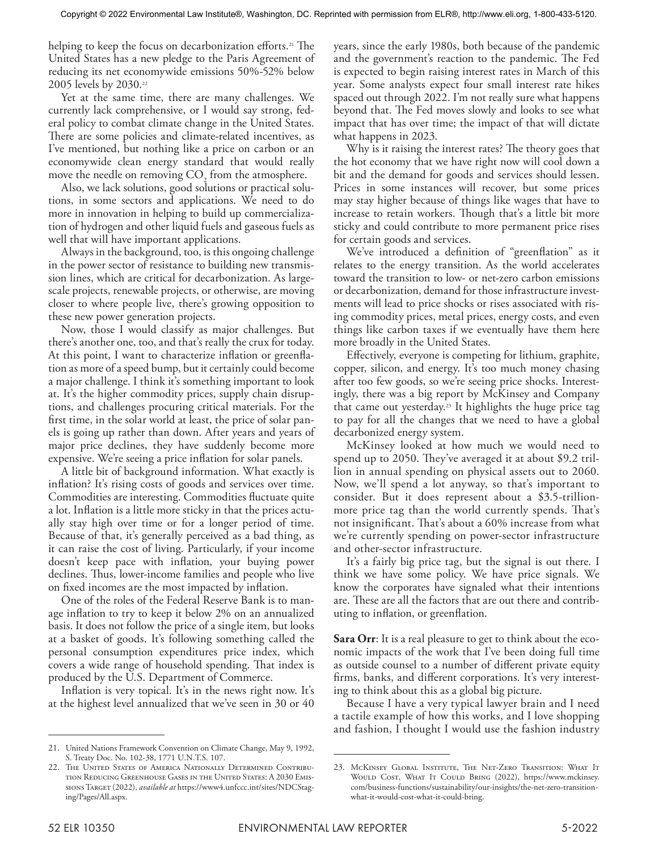helping to keep the focus on decarbonization efforts.<sup>21</sup> The United States has a new pledge to the Paris Agreement of reducing its net economywide emissions 50%-52% below 2005 levels by 2030.<sup>22</sup>

Yet at the same time, there are many challenges. We currently lack comprehensive, or I would say strong, federal policy to combat climate change in the United States. There are some policies and climate-related incentives, as I've mentioned, but nothing like a price on carbon or an economywide clean energy standard that would really move the needle on removing  $CO_2$  from the atmosphere.

Also, we lack solutions, good solutions or practical solutions, in some sectors and applications. We need to do more in innovation in helping to build up commercialization of hydrogen and other liquid fuels and gaseous fuels as well that will have important applications.

Always in the background, too, is this ongoing challenge in the power sector of resistance to building new transmission lines, which are critical for decarbonization. As largescale projects, renewable projects, or otherwise, are moving closer to where people live, there's growing opposition to these new power generation projects.

Now, those I would classify as major challenges. But there's another one, too, and that's really the crux for today. At this point, I want to characterize inflation or greenflation as more of a speed bump, but it certainly could become a major challenge. I think it's something important to look at. It's the higher commodity prices, supply chain disruptions, and challenges procuring critical materials. For the first time, in the solar world at least, the price of solar panels is going up rather than down. After years and years of major price declines, they have suddenly become more expensive. We're seeing a price inflation for solar panels.

A little bit of background information. What exactly is inflation? It's rising costs of goods and services over time. Commodities are interesting. Commodities fluctuate quite a lot. Inflation is a little more sticky in that the prices actually stay high over time or for a longer period of time. Because of that, it's generally perceived as a bad thing, as it can raise the cost of living. Particularly, if your income doesn't keep pace with inflation, your buying power declines. Thus, lower-income families and people who live on fixed incomes are the most impacted by inflation.

One of the roles of the Federal Reserve Bank is to manage inflation to try to keep it below 2% on an annualized basis. It does not follow the price of a single item, but looks at a basket of goods. It's following something called the personal consumption expenditures price index, which covers a wide range of household spending. That index is produced by the U.S. Department of Commerce.

Inflation is very topical. It's in the news right now. It's at the highest level annualized that we've seen in 30 or 40

years, since the early 1980s, both because of the pandemic and the government's reaction to the pandemic. The Fed is expected to begin raising interest rates in March of this year. Some analysts expect four small interest rate hikes spaced out through 2022. I'm not really sure what happens beyond that. The Fed moves slowly and looks to see what impact that has over time; the impact of that will dictate what happens in 2023.

Why is it raising the interest rates? The theory goes that the hot economy that we have right now will cool down a bit and the demand for goods and services should lessen. Prices in some instances will recover, but some prices may stay higher because of things like wages that have to increase to retain workers. Though that's a little bit more sticky and could contribute to more permanent price rises for certain goods and services.

We've introduced a definition of "greenflation" as it relates to the energy transition. As the world accelerates toward the transition to low- or net-zero carbon emissions or decarbonization, demand for those infrastructure investments will lead to price shocks or rises associated with rising commodity prices, metal prices, energy costs, and even things like carbon taxes if we eventually have them here more broadly in the United States.

Effectively, everyone is competing for lithium, graphite, copper, silicon, and energy. It's too much money chasing after too few goods, so we're seeing price shocks. Interestingly, there was a big report by McKinsey and Company that came out yesterday.23 It highlights the huge price tag to pay for all the changes that we need to have a global decarbonized energy system.

McKinsey looked at how much we would need to spend up to 2050. They've averaged it at about \$9.2 trillion in annual spending on physical assets out to 2060. Now, we'll spend a lot anyway, so that's important to consider. But it does represent about a \$3.5-trillionmore price tag than the world currently spends. That's not insignificant. That's about a 60% increase from what we're currently spending on power-sector infrastructure and other-sector infrastructure.

It's a fairly big price tag, but the signal is out there. I think we have some policy. We have price signals. We know the corporates have signaled what their intentions are. These are all the factors that are out there and contributing to inflation, or greenflation.

**Sara Orr**: It is a real pleasure to get to think about the economic impacts of the work that I've been doing full time as outside counsel to a number of different private equity firms, banks, and different corporations. It's very interesting to think about this as a global big picture.

Because I have a very typical lawyer brain and I need a tactile example of how this works, and I love shopping and fashion, I thought I would use the fashion industry

<sup>21.</sup> United Nations Framework Convention on Climate Change, May 9, 1992, S. Treaty Doc. No. 102-38, 1771 U.N.T.S. 107.

<sup>22.</sup> The United States of America Nationally Determined Contribution Reducing Greenhouse Gases in the United States: A 2030 Emissions Target (2022), *available at* https://www4.unfccc.int/sites/NDCStaging/Pages/All.aspx.

<sup>23.</sup> McKinsey Global Institute, The Net-Zero Transition: What It WOULD COST, WHAT IT COULD BRING (2022), https://www.mckinsey. com/business-functions/sustainability/our-insights/the-net-zero-transitionwhat-it-would-cost-what-it-could-bring.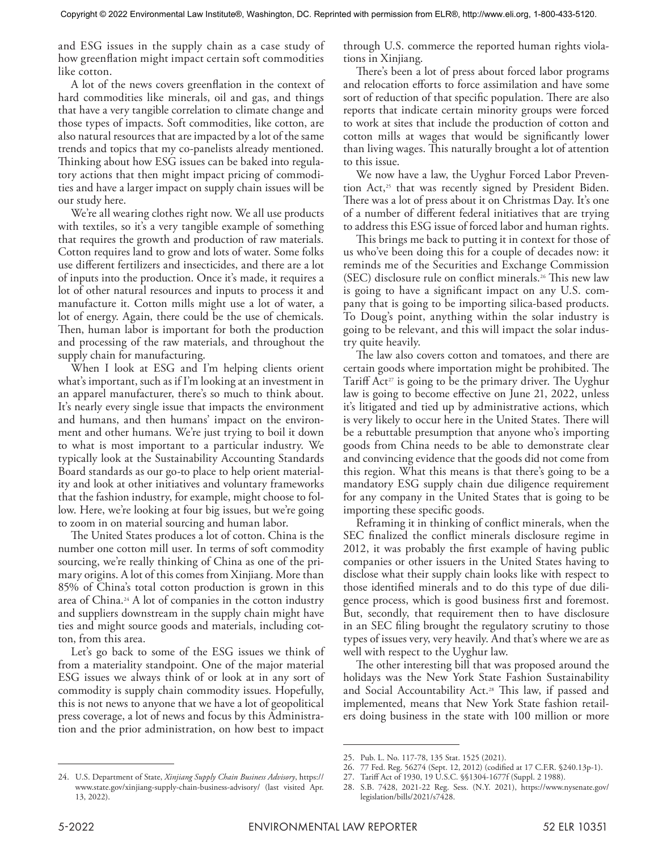and ESG issues in the supply chain as a case study of how greenflation might impact certain soft commodities like cotton.

A lot of the news covers greenflation in the context of hard commodities like minerals, oil and gas, and things that have a very tangible correlation to climate change and those types of impacts. Soft commodities, like cotton, are also natural resources that are impacted by a lot of the same trends and topics that my co-panelists already mentioned. Thinking about how ESG issues can be baked into regulatory actions that then might impact pricing of commodities and have a larger impact on supply chain issues will be our study here.

We're all wearing clothes right now. We all use products with textiles, so it's a very tangible example of something that requires the growth and production of raw materials. Cotton requires land to grow and lots of water. Some folks use different fertilizers and insecticides, and there are a lot of inputs into the production. Once it's made, it requires a lot of other natural resources and inputs to process it and manufacture it. Cotton mills might use a lot of water, a lot of energy. Again, there could be the use of chemicals. Then, human labor is important for both the production and processing of the raw materials, and throughout the supply chain for manufacturing.

When I look at ESG and I'm helping clients orient what's important, such as if I'm looking at an investment in an apparel manufacturer, there's so much to think about. It's nearly every single issue that impacts the environment and humans, and then humans' impact on the environment and other humans. We're just trying to boil it down to what is most important to a particular industry. We typically look at the Sustainability Accounting Standards Board standards as our go-to place to help orient materiality and look at other initiatives and voluntary frameworks that the fashion industry, for example, might choose to follow. Here, we're looking at four big issues, but we're going to zoom in on material sourcing and human labor.

The United States produces a lot of cotton. China is the number one cotton mill user. In terms of soft commodity sourcing, we're really thinking of China as one of the primary origins. A lot of this comes from Xinjiang. More than 85% of China's total cotton production is grown in this area of China.24 A lot of companies in the cotton industry and suppliers downstream in the supply chain might have ties and might source goods and materials, including cotton, from this area.

Let's go back to some of the ESG issues we think of from a materiality standpoint. One of the major material ESG issues we always think of or look at in any sort of commodity is supply chain commodity issues. Hopefully, this is not news to anyone that we have a lot of geopolitical press coverage, a lot of news and focus by this Administration and the prior administration, on how best to impact

24. U.S. Department of State, *Xinjiang Supply Chain Business Advisory*, https:// www.state.gov/xinjiang-supply-chain-business-advisory/ (last visited Apr. 13, 2022).

through U.S. commerce the reported human rights violations in Xinjiang.

There's been a lot of press about forced labor programs and relocation efforts to force assimilation and have some sort of reduction of that specific population. There are also reports that indicate certain minority groups were forced to work at sites that include the production of cotton and cotton mills at wages that would be significantly lower than living wages. This naturally brought a lot of attention to this issue.

We now have a law, the Uyghur Forced Labor Prevention Act,<sup>25</sup> that was recently signed by President Biden. There was a lot of press about it on Christmas Day. It's one of a number of different federal initiatives that are trying to address this ESG issue of forced labor and human rights.

This brings me back to putting it in context for those of us who've been doing this for a couple of decades now: it reminds me of the Securities and Exchange Commission (SEC) disclosure rule on conflict minerals.26 This new law is going to have a significant impact on any U.S. company that is going to be importing silica-based products. To Doug's point, anything within the solar industry is going to be relevant, and this will impact the solar industry quite heavily.

The law also covers cotton and tomatoes, and there are certain goods where importation might be prohibited. The Tariff  $Act^{27}$  is going to be the primary driver. The Uyghur law is going to become effective on June 21, 2022, unless it's litigated and tied up by administrative actions, which is very likely to occur here in the United States. There will be a rebuttable presumption that anyone who's importing goods from China needs to be able to demonstrate clear and convincing evidence that the goods did not come from this region. What this means is that there's going to be a mandatory ESG supply chain due diligence requirement for any company in the United States that is going to be importing these specific goods.

Reframing it in thinking of conflict minerals, when the SEC finalized the conflict minerals disclosure regime in 2012, it was probably the first example of having public companies or other issuers in the United States having to disclose what their supply chain looks like with respect to those identified minerals and to do this type of due diligence process, which is good business first and foremost. But, secondly, that requirement then to have disclosure in an SEC filing brought the regulatory scrutiny to those types of issues very, very heavily. And that's where we are as well with respect to the Uyghur law.

The other interesting bill that was proposed around the holidays was the New York State Fashion Sustainability and Social Accountability Act.<sup>28</sup> This law, if passed and implemented, means that New York State fashion retailers doing business in the state with 100 million or more

<sup>25.</sup> Pub. L. No. 117-78, 135 Stat. 1525 (2021).

<sup>26.</sup> 77 Fed. Reg. 56274 (Sept. 12, 2012) (codified at 17 C.F.R. §240.13p-1).

<sup>27.</sup> Tariff Act of 1930, 19 U.S.C. §§1304-1677f (Suppl. 2 1988).

<sup>28.</sup> S.B. 7428, 2021-22 Reg. Sess. (N.Y. 2021), https://www.nysenate.gov/ legislation/bills/2021/s7428.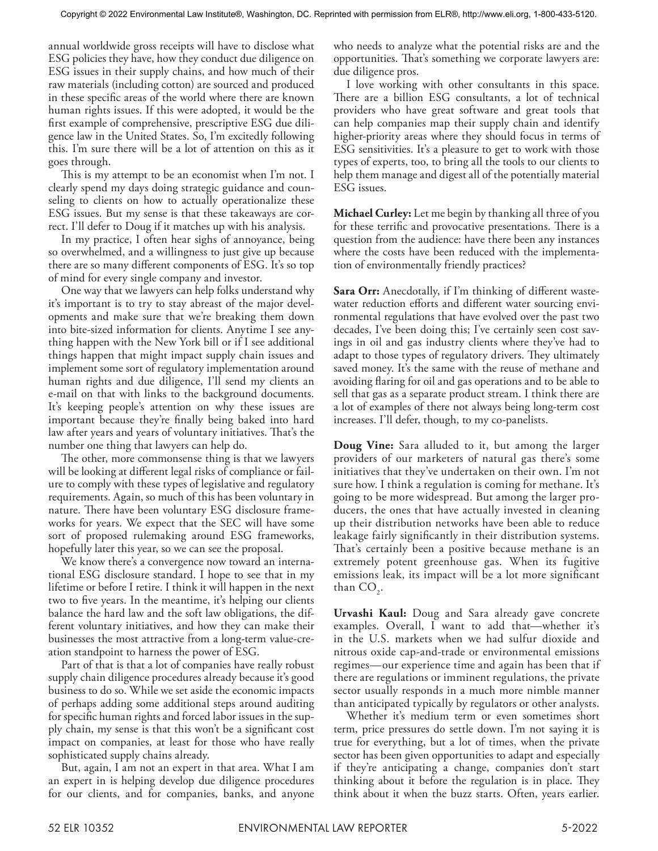annual worldwide gross receipts will have to disclose what ESG policies they have, how they conduct due diligence on ESG issues in their supply chains, and how much of their raw materials (including cotton) are sourced and produced in these specific areas of the world where there are known human rights issues. If this were adopted, it would be the first example of comprehensive, prescriptive ESG due diligence law in the United States. So, I'm excitedly following this. I'm sure there will be a lot of attention on this as it goes through.

This is my attempt to be an economist when I'm not. I clearly spend my days doing strategic guidance and counseling to clients on how to actually operationalize these ESG issues. But my sense is that these takeaways are correct. I'll defer to Doug if it matches up with his analysis.

In my practice, I often hear sighs of annoyance, being so overwhelmed, and a willingness to just give up because there are so many different components of ESG. It's so top of mind for every single company and investor.

One way that we lawyers can help folks understand why it's important is to try to stay abreast of the major developments and make sure that we're breaking them down into bite-sized information for clients. Anytime I see anything happen with the New York bill or if I see additional things happen that might impact supply chain issues and implement some sort of regulatory implementation around human rights and due diligence, I'll send my clients an e-mail on that with links to the background documents. It's keeping people's attention on why these issues are important because they're finally being baked into hard law after years and years of voluntary initiatives. That's the number one thing that lawyers can help do.

The other, more commonsense thing is that we lawyers will be looking at different legal risks of compliance or failure to comply with these types of legislative and regulatory requirements. Again, so much of this has been voluntary in nature. There have been voluntary ESG disclosure frameworks for years. We expect that the SEC will have some sort of proposed rulemaking around ESG frameworks, hopefully later this year, so we can see the proposal.

We know there's a convergence now toward an international ESG disclosure standard. I hope to see that in my lifetime or before I retire. I think it will happen in the next two to five years. In the meantime, it's helping our clients balance the hard law and the soft law obligations, the different voluntary initiatives, and how they can make their businesses the most attractive from a long-term value-creation standpoint to harness the power of ESG.

Part of that is that a lot of companies have really robust supply chain diligence procedures already because it's good business to do so. While we set aside the economic impacts of perhaps adding some additional steps around auditing for specific human rights and forced labor issues in the supply chain, my sense is that this won't be a significant cost impact on companies, at least for those who have really sophisticated supply chains already.

But, again, I am not an expert in that area. What I am an expert in is helping develop due diligence procedures for our clients, and for companies, banks, and anyone who needs to analyze what the potential risks are and the opportunities. That's something we corporate lawyers are: due diligence pros.

I love working with other consultants in this space. There are a billion ESG consultants, a lot of technical providers who have great software and great tools that can help companies map their supply chain and identify higher-priority areas where they should focus in terms of ESG sensitivities. It's a pleasure to get to work with those types of experts, too, to bring all the tools to our clients to help them manage and digest all of the potentially material ESG issues.

**Michael Curley:** Let me begin by thanking all three of you for these terrific and provocative presentations. There is a question from the audience: have there been any instances where the costs have been reduced with the implementation of environmentally friendly practices?

**Sara Orr:** Anecdotally, if I'm thinking of different wastewater reduction efforts and different water sourcing environmental regulations that have evolved over the past two decades, I've been doing this; I've certainly seen cost savings in oil and gas industry clients where they've had to adapt to those types of regulatory drivers. They ultimately saved money. It's the same with the reuse of methane and avoiding flaring for oil and gas operations and to be able to sell that gas as a separate product stream. I think there are a lot of examples of there not always being long-term cost increases. I'll defer, though, to my co-panelists.

**Doug Vine:** Sara alluded to it, but among the larger providers of our marketers of natural gas there's some initiatives that they've undertaken on their own. I'm not sure how. I think a regulation is coming for methane. It's going to be more widespread. But among the larger producers, the ones that have actually invested in cleaning up their distribution networks have been able to reduce leakage fairly significantly in their distribution systems. That's certainly been a positive because methane is an extremely potent greenhouse gas. When its fugitive emissions leak, its impact will be a lot more significant than  $CO_2$ .

**Urvashi Kaul:** Doug and Sara already gave concrete examples. Overall, I want to add that—whether it's in the U.S. markets when we had sulfur dioxide and nitrous oxide cap-and-trade or environmental emissions regimes—our experience time and again has been that if there are regulations or imminent regulations, the private sector usually responds in a much more nimble manner than anticipated typically by regulators or other analysts.

Whether it's medium term or even sometimes short term, price pressures do settle down. I'm not saying it is true for everything, but a lot of times, when the private sector has been given opportunities to adapt and especially if they're anticipating a change, companies don't start thinking about it before the regulation is in place. They think about it when the buzz starts. Often, years earlier.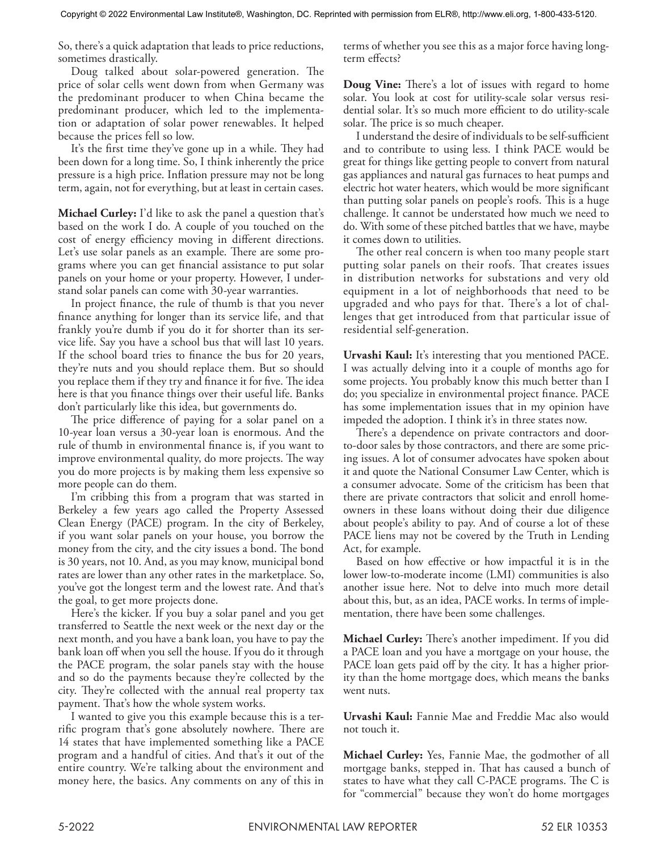So, there's a quick adaptation that leads to price reductions, sometimes drastically.

Doug talked about solar-powered generation. The price of solar cells went down from when Germany was the predominant producer to when China became the predominant producer, which led to the implementation or adaptation of solar power renewables. It helped because the prices fell so low.

It's the first time they've gone up in a while. They had been down for a long time. So, I think inherently the price pressure is a high price. Inflation pressure may not be long term, again, not for everything, but at least in certain cases.

**Michael Curley:** I'd like to ask the panel a question that's based on the work I do. A couple of you touched on the cost of energy efficiency moving in different directions. Let's use solar panels as an example. There are some programs where you can get financial assistance to put solar panels on your home or your property. However, I understand solar panels can come with 30-year warranties.

In project finance, the rule of thumb is that you never finance anything for longer than its service life, and that frankly you're dumb if you do it for shorter than its service life. Say you have a school bus that will last 10 years. If the school board tries to finance the bus for 20 years, they're nuts and you should replace them. But so should you replace them if they try and finance it for five. The idea here is that you finance things over their useful life. Banks don't particularly like this idea, but governments do.

The price difference of paying for a solar panel on a 10-year loan versus a 30-year loan is enormous. And the rule of thumb in environmental finance is, if you want to improve environmental quality, do more projects. The way you do more projects is by making them less expensive so more people can do them.

I'm cribbing this from a program that was started in Berkeley a few years ago called the Property Assessed Clean Energy (PACE) program. In the city of Berkeley, if you want solar panels on your house, you borrow the money from the city, and the city issues a bond. The bond is 30 years, not 10. And, as you may know, municipal bond rates are lower than any other rates in the marketplace. So, you've got the longest term and the lowest rate. And that's the goal, to get more projects done.

Here's the kicker. If you buy a solar panel and you get transferred to Seattle the next week or the next day or the next month, and you have a bank loan, you have to pay the bank loan off when you sell the house. If you do it through the PACE program, the solar panels stay with the house and so do the payments because they're collected by the city. They're collected with the annual real property tax payment. That's how the whole system works.

I wanted to give you this example because this is a terrific program that's gone absolutely nowhere. There are 14 states that have implemented something like a PACE program and a handful of cities. And that's it out of the entire country. We're talking about the environment and money here, the basics. Any comments on any of this in terms of whether you see this as a major force having longterm effects?

**Doug Vine:** There's a lot of issues with regard to home solar. You look at cost for utility-scale solar versus residential solar. It's so much more efficient to do utility-scale solar. The price is so much cheaper.

I understand the desire of individuals to be self-sufficient and to contribute to using less. I think PACE would be great for things like getting people to convert from natural gas appliances and natural gas furnaces to heat pumps and electric hot water heaters, which would be more significant than putting solar panels on people's roofs. This is a huge challenge. It cannot be understated how much we need to do. With some of these pitched battles that we have, maybe it comes down to utilities.

The other real concern is when too many people start putting solar panels on their roofs. That creates issues in distribution networks for substations and very old equipment in a lot of neighborhoods that need to be upgraded and who pays for that. There's a lot of challenges that get introduced from that particular issue of residential self-generation.

**Urvashi Kaul:** It's interesting that you mentioned PACE. I was actually delving into it a couple of months ago for some projects. You probably know this much better than I do; you specialize in environmental project finance. PACE has some implementation issues that in my opinion have impeded the adoption. I think it's in three states now.

There's a dependence on private contractors and doorto-door sales by those contractors, and there are some pricing issues. A lot of consumer advocates have spoken about it and quote the National Consumer Law Center, which is a consumer advocate. Some of the criticism has been that there are private contractors that solicit and enroll homeowners in these loans without doing their due diligence about people's ability to pay. And of course a lot of these PACE liens may not be covered by the Truth in Lending Act, for example.

Based on how effective or how impactful it is in the lower low-to-moderate income (LMI) communities is also another issue here. Not to delve into much more detail about this, but, as an idea, PACE works. In terms of implementation, there have been some challenges.

**Michael Curley:** There's another impediment. If you did a PACE loan and you have a mortgage on your house, the PACE loan gets paid off by the city. It has a higher priority than the home mortgage does, which means the banks went nuts.

**Urvashi Kaul:** Fannie Mae and Freddie Mac also would not touch it.

**Michael Curley:** Yes, Fannie Mae, the godmother of all mortgage banks, stepped in. That has caused a bunch of states to have what they call C-PACE programs. The C is for "commercial" because they won't do home mortgages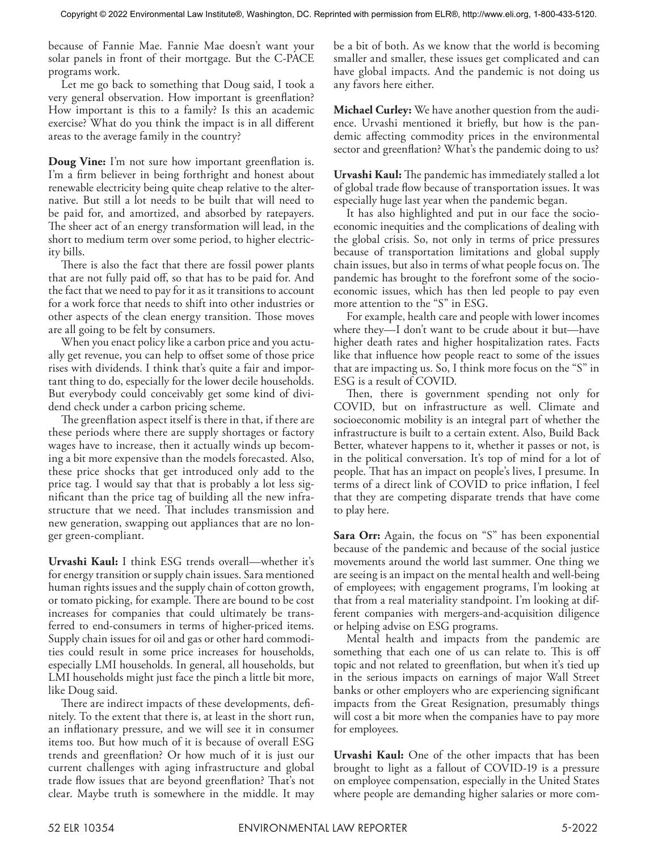because of Fannie Mae. Fannie Mae doesn't want your solar panels in front of their mortgage. But the C-PACE programs work.

Let me go back to something that Doug said, I took a very general observation. How important is greenflation? How important is this to a family? Is this an academic exercise? What do you think the impact is in all different areas to the average family in the country?

**Doug Vine:** I'm not sure how important greenflation is. I'm a firm believer in being forthright and honest about renewable electricity being quite cheap relative to the alternative. But still a lot needs to be built that will need to be paid for, and amortized, and absorbed by ratepayers. The sheer act of an energy transformation will lead, in the short to medium term over some period, to higher electricity bills.

There is also the fact that there are fossil power plants that are not fully paid off, so that has to be paid for. And the fact that we need to pay for it as it transitions to account for a work force that needs to shift into other industries or other aspects of the clean energy transition. Those moves are all going to be felt by consumers.

When you enact policy like a carbon price and you actually get revenue, you can help to offset some of those price rises with dividends. I think that's quite a fair and important thing to do, especially for the lower decile households. But everybody could conceivably get some kind of dividend check under a carbon pricing scheme.

The greenflation aspect itself is there in that, if there are these periods where there are supply shortages or factory wages have to increase, then it actually winds up becoming a bit more expensive than the models forecasted. Also, these price shocks that get introduced only add to the price tag. I would say that that is probably a lot less significant than the price tag of building all the new infrastructure that we need. That includes transmission and new generation, swapping out appliances that are no longer green-compliant.

**Urvashi Kaul:** I think ESG trends overall—whether it's for energy transition or supply chain issues. Sara mentioned human rights issues and the supply chain of cotton growth, or tomato picking, for example. There are bound to be cost increases for companies that could ultimately be transferred to end-consumers in terms of higher-priced items. Supply chain issues for oil and gas or other hard commodities could result in some price increases for households, especially LMI households. In general, all households, but LMI households might just face the pinch a little bit more, like Doug said.

There are indirect impacts of these developments, definitely. To the extent that there is, at least in the short run, an inflationary pressure, and we will see it in consumer items too. But how much of it is because of overall ESG trends and greenflation? Or how much of it is just our current challenges with aging infrastructure and global trade flow issues that are beyond greenflation? That's not clear. Maybe truth is somewhere in the middle. It may be a bit of both. As we know that the world is becoming smaller and smaller, these issues get complicated and can have global impacts. And the pandemic is not doing us any favors here either.

**Michael Curley:** We have another question from the audience. Urvashi mentioned it briefly, but how is the pandemic affecting commodity prices in the environmental sector and greenflation? What's the pandemic doing to us?

**Urvashi Kaul:** The pandemic has immediately stalled a lot of global trade flow because of transportation issues. It was especially huge last year when the pandemic began.

It has also highlighted and put in our face the socioeconomic inequities and the complications of dealing with the global crisis. So, not only in terms of price pressures because of transportation limitations and global supply chain issues, but also in terms of what people focus on. The pandemic has brought to the forefront some of the socioeconomic issues, which has then led people to pay even more attention to the "S" in ESG.

For example, health care and people with lower incomes where they—I don't want to be crude about it but—have higher death rates and higher hospitalization rates. Facts like that influence how people react to some of the issues that are impacting us. So, I think more focus on the "S" in ESG is a result of COVID.

Then, there is government spending not only for COVID, but on infrastructure as well. Climate and socioeconomic mobility is an integral part of whether the infrastructure is built to a certain extent. Also, Build Back Better, whatever happens to it, whether it passes or not, is in the political conversation. It's top of mind for a lot of people. That has an impact on people's lives, I presume. In terms of a direct link of COVID to price inflation, I feel that they are competing disparate trends that have come to play here.

**Sara Orr:** Again, the focus on "S" has been exponential because of the pandemic and because of the social justice movements around the world last summer. One thing we are seeing is an impact on the mental health and well-being of employees; with engagement programs, I'm looking at that from a real materiality standpoint. I'm looking at different companies with mergers-and-acquisition diligence or helping advise on ESG programs.

Mental health and impacts from the pandemic are something that each one of us can relate to. This is off topic and not related to greenflation, but when it's tied up in the serious impacts on earnings of major Wall Street banks or other employers who are experiencing significant impacts from the Great Resignation, presumably things will cost a bit more when the companies have to pay more for employees.

**Urvashi Kaul:** One of the other impacts that has been brought to light as a fallout of COVID-19 is a pressure on employee compensation, especially in the United States where people are demanding higher salaries or more com-